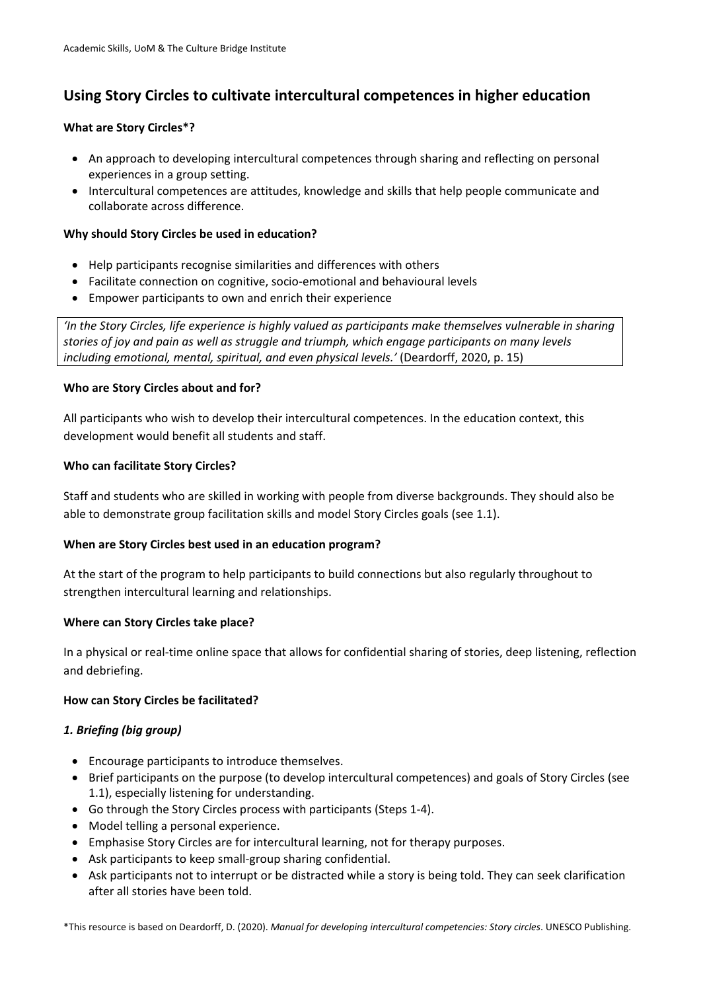# **Using Story Circles to cultivate intercultural competences in higher education**

## **What are Story Circles\*?**

- An approach to developing intercultural competences through sharing and reflecting on personal experiences in a group setting.
- Intercultural competences are attitudes, knowledge and skills that help people communicate and collaborate across difference.

## **Why should Story Circles be used in education?**

- Help participants recognise similarities and differences with others
- Facilitate connection on cognitive, socio-emotional and behavioural levels
- Empower participants to own and enrich their experience

*'In the Story Circles, life experience is highly valued as participants make themselves vulnerable in sharing stories of joy and pain as well as struggle and triumph, which engage participants on many levels including emotional, mental, spiritual, and even physical levels.'* (Deardorff, 2020, p. 15)

#### **Who are Story Circles about and for?**

All participants who wish to develop their intercultural competences. In the education context, this development would benefit all students and staff.

# **Who can facilitate Story Circles?**

Staff and students who are skilled in working with people from diverse backgrounds. They should also be able to demonstrate group facilitation skills and model Story Circles goals (see 1.1).

# **When are Story Circles best used in an education program?**

At the start of the program to help participants to build connections but also regularly throughout to strengthen intercultural learning and relationships.

#### **Where can Story Circles take place?**

In a physical or real-time online space that allows for confidential sharing of stories, deep listening, reflection and debriefing.

#### **How can Story Circles be facilitated?**

#### *1. Briefing (big group)*

- Encourage participants to introduce themselves.
- Brief participants on the purpose (to develop intercultural competences) and goals of Story Circles (see 1.1), especially listening for understanding.
- Go through the Story Circles process with participants (Steps 1-4).
- Model telling a personal experience.
- Emphasise Story Circles are for intercultural learning, not for therapy purposes.
- Ask participants to keep small-group sharing confidential.
- Ask participants not to interrupt or be distracted while a story is being told. They can seek clarification after all stories have been told.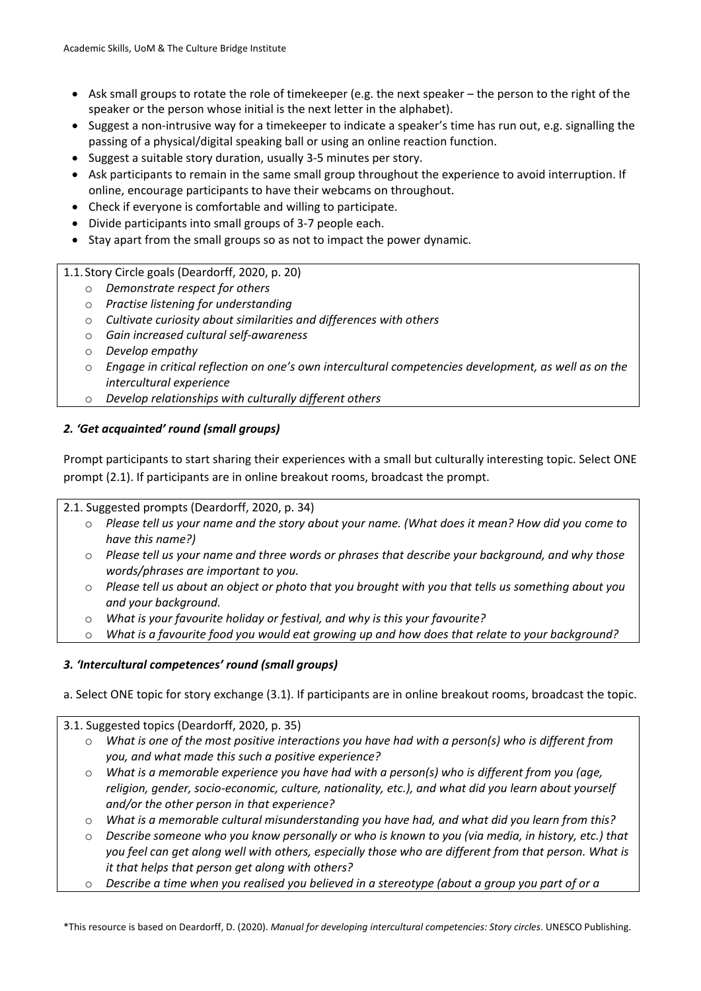- Ask small groups to rotate the role of timekeeper (e.g. the next speaker the person to the right of the speaker or the person whose initial is the next letter in the alphabet).
- Suggest a non-intrusive way for a timekeeper to indicate a speaker's time has run out, e.g. signalling the passing of a physical/digital speaking ball or using an online reaction function.
- Suggest a suitable story duration, usually 3-5 minutes per story.
- Ask participants to remain in the same small group throughout the experience to avoid interruption. If online, encourage participants to have their webcams on throughout.
- Check if everyone is comfortable and willing to participate.
- Divide participants into small groups of 3-7 people each.
- Stay apart from the small groups so as not to impact the power dynamic.
- 1.1. Story Circle goals (Deardorff, 2020, p. 20)
	- o *Demonstrate respect for others*
	- o *Practise listening for understanding*
	- o *Cultivate curiosity about similarities and differences with others*
	- o *Gain increased cultural self-awareness*
	- o *Develop empathy*
	- o *Engage in critical reflection on one's own intercultural competencies development, as well as on the intercultural experience*
	- o *Develop relationships with culturally different others*

# *2. 'Get acquainted' round (small groups)*

Prompt participants to start sharing their experiences with a small but culturally interesting topic. Select ONE prompt (2.1). If participants are in online breakout rooms, broadcast the prompt.

2.1. Suggested prompts (Deardorff, 2020, p. 34)

- o *Please tell us your name and the story about your name. (What does it mean? How did you come to have this name?)*
- o *Please tell us your name and three words or phrases that describe your background, and why those words/phrases are important to you.*
- o *Please tell us about an object or photo that you brought with you that tells us something about you and your background.*
- o *What is your favourite holiday or festival, and why is this your favourite?*
- o *What is a favourite food you would eat growing up and how does that relate to your background?*

#### *3. 'Intercultural competences' round (small groups)*

a. Select ONE topic for story exchange (3.1). If participants are in online breakout rooms, broadcast the topic.

3.1. Suggested topics (Deardorff, 2020, p. 35)

- o *What is one of the most positive interactions you have had with a person(s) who is different from you, and what made this such a positive experience?*
- o *What is a memorable experience you have had with a person(s) who is different from you (age, religion, gender, socio-economic, culture, nationality, etc.), and what did you learn about yourself and/or the other person in that experience?*
- o *What is a memorable cultural misunderstanding you have had, and what did you learn from this?*
- o *Describe someone who you know personally or who is known to you (via media, in history, etc.) that you feel can get along well with others, especially those who are different from that person. What is it that helps that person get along with others?*
- Describe a time when you realised you believed in a stereotype (about a group you part of or a